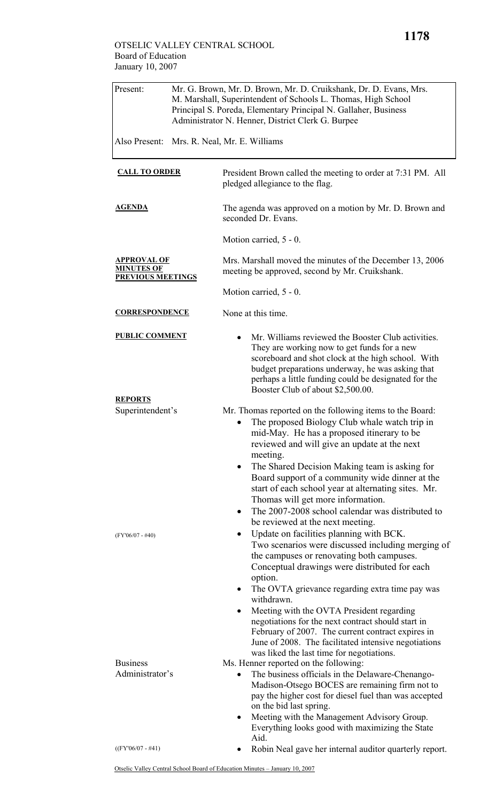| Present:                                                            |  | Mr. G. Brown, Mr. D. Brown, Mr. D. Cruikshank, Dr. D. Evans, Mrs.<br>M. Marshall, Superintendent of Schools L. Thomas, High School<br>Principal S. Poreda, Elementary Principal N. Gallaher, Business<br>Administrator N. Henner, District Clerk G. Burpee                                                                                                                                                                                                                                                                                                                                                                                                                                              |  |
|---------------------------------------------------------------------|--|---------------------------------------------------------------------------------------------------------------------------------------------------------------------------------------------------------------------------------------------------------------------------------------------------------------------------------------------------------------------------------------------------------------------------------------------------------------------------------------------------------------------------------------------------------------------------------------------------------------------------------------------------------------------------------------------------------|--|
| Also Present:                                                       |  | Mrs. R. Neal, Mr. E. Williams                                                                                                                                                                                                                                                                                                                                                                                                                                                                                                                                                                                                                                                                           |  |
| <b>CALL TO ORDER</b><br><b>AGENDA</b>                               |  | President Brown called the meeting to order at 7:31 PM. All<br>pledged allegiance to the flag.                                                                                                                                                                                                                                                                                                                                                                                                                                                                                                                                                                                                          |  |
|                                                                     |  | The agenda was approved on a motion by Mr. D. Brown and<br>seconded Dr. Evans.                                                                                                                                                                                                                                                                                                                                                                                                                                                                                                                                                                                                                          |  |
|                                                                     |  | Motion carried, 5 - 0.                                                                                                                                                                                                                                                                                                                                                                                                                                                                                                                                                                                                                                                                                  |  |
| <b>APPROVAL OF</b><br><b>MINUTES OF</b><br><b>PREVIOUS MEETINGS</b> |  | Mrs. Marshall moved the minutes of the December 13, 2006<br>meeting be approved, second by Mr. Cruikshank.                                                                                                                                                                                                                                                                                                                                                                                                                                                                                                                                                                                              |  |
|                                                                     |  | Motion carried, 5 - 0.                                                                                                                                                                                                                                                                                                                                                                                                                                                                                                                                                                                                                                                                                  |  |
| <b>CORRESPONDENCE</b>                                               |  | None at this time.                                                                                                                                                                                                                                                                                                                                                                                                                                                                                                                                                                                                                                                                                      |  |
| <b>PUBLIC COMMENT</b>                                               |  | Mr. Williams reviewed the Booster Club activities.<br>They are working now to get funds for a new<br>scoreboard and shot clock at the high school. With<br>budget preparations underway, he was asking that<br>perhaps a little funding could be designated for the                                                                                                                                                                                                                                                                                                                                                                                                                                     |  |
| <b>REPORTS</b><br>Superintendent's                                  |  | Booster Club of about \$2,500.00.<br>Mr. Thomas reported on the following items to the Board:<br>The proposed Biology Club whale watch trip in<br>mid-May. He has a proposed itinerary to be<br>reviewed and will give an update at the next<br>meeting.                                                                                                                                                                                                                                                                                                                                                                                                                                                |  |
| $(FY'06/07 - #40)$                                                  |  | The Shared Decision Making team is asking for<br>$\bullet$<br>Board support of a community wide dinner at the<br>start of each school year at alternating sites. Mr.<br>Thomas will get more information.<br>The 2007-2008 school calendar was distributed to<br>$\bullet$<br>be reviewed at the next meeting.<br>Update on facilities planning with BCK.<br>Two scenarios were discussed including merging of<br>the campuses or renovating both campuses.<br>Conceptual drawings were distributed for each<br>option.<br>The OVTA grievance regarding extra time pay was<br>$\bullet$<br>withdrawn.                                                                                                   |  |
| <b>Business</b><br>Administrator's<br>$((FY'06/07 - #41))$          |  | Meeting with the OVTA President regarding<br>$\bullet$<br>negotiations for the next contract should start in<br>February of 2007. The current contract expires in<br>June of 2008. The facilitated intensive negotiations<br>was liked the last time for negotiations.<br>Ms. Henner reported on the following:<br>The business officials in the Delaware-Chenango-<br>$\bullet$<br>Madison-Otsego BOCES are remaining firm not to<br>pay the higher cost for diesel fuel than was accepted<br>on the bid last spring.<br>Meeting with the Management Advisory Group.<br>$\bullet$<br>Everything looks good with maximizing the State<br>Aid.<br>Robin Neal gave her internal auditor quarterly report. |  |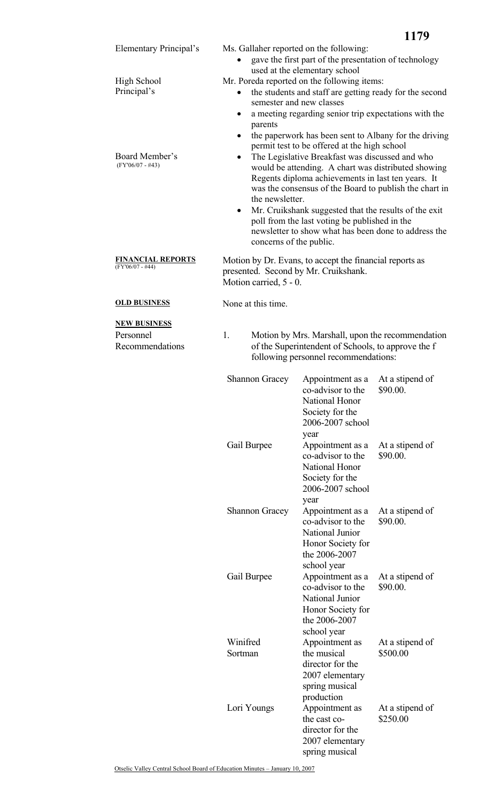

| <b>Shannon Gracey</b> | Appointment as a<br>co-advisor to the<br>National Honor<br>Society for the<br>2006-2007 school<br>year        | At a stipend of<br>\$90.00. |
|-----------------------|---------------------------------------------------------------------------------------------------------------|-----------------------------|
| Gail Burpee           | Appointment as a<br>co-advisor to the<br>National Honor<br>Society for the<br>2006-2007 school<br>year        | At a stipend of<br>\$90.00. |
| <b>Shannon Gracey</b> | Appointment as a<br>co-advisor to the<br>National Junior<br>Honor Society for<br>the 2006-2007<br>school year | At a stipend of<br>\$90.00. |
| Gail Burpee           | Appointment as a<br>co-advisor to the<br>National Junior<br>Honor Society for<br>the 2006-2007<br>school year | At a stipend of<br>\$90.00. |
| Winifred<br>Sortman   | Appointment as<br>the musical<br>director for the<br>2007 elementary<br>spring musical<br>production          | At a stipend of<br>\$500.00 |
| Lori Youngs           | Appointment as<br>the cast co-<br>director for the<br>2007 elementary<br>spring musical                       | At a stipend of<br>\$250.00 |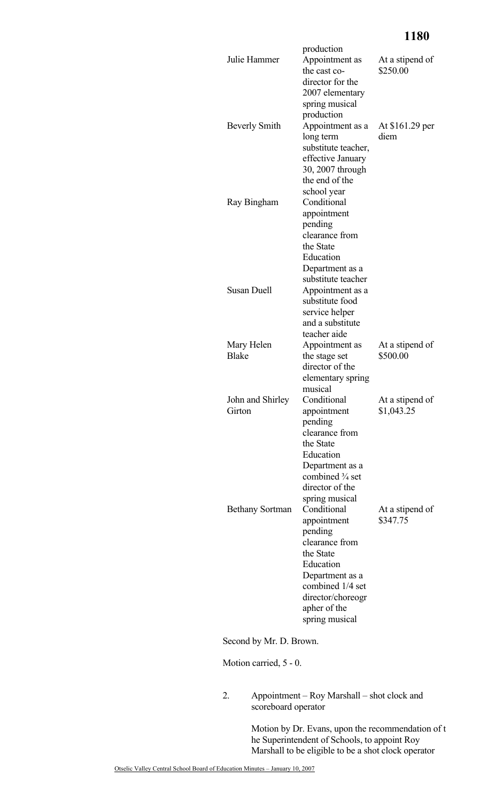## **1180**

| Julie Hammer               | production<br>Appointment as<br>the cast co-<br>director for the<br>2007 elementary<br>spring musical                                                                           | At a stipend of<br>\$250.00   |
|----------------------------|---------------------------------------------------------------------------------------------------------------------------------------------------------------------------------|-------------------------------|
| <b>Beverly Smith</b>       | production<br>Appointment as a<br>long term<br>substitute teacher,<br>effective January<br>30, 2007 through<br>the end of the                                                   | At \$161.29 per<br>diem       |
| Ray Bingham                | school year<br>Conditional<br>appointment<br>pending<br>clearance from<br>the State<br>Education                                                                                |                               |
| <b>Susan Duell</b>         | Department as a<br>substitute teacher<br>Appointment as a<br>substitute food<br>service helper<br>and a substitute<br>teacher aide                                              |                               |
| Mary Helen<br><b>Blake</b> | Appointment as<br>the stage set<br>director of the<br>elementary spring<br>musical                                                                                              | At a stipend of<br>\$500.00   |
| John and Shirley<br>Girton | Conditional<br>appointment<br>pending<br>clearance from<br>the State<br>Education<br>Department as a<br>combined 3/4 set<br>director of the<br>spring musical                   | At a stipend of<br>\$1,043.25 |
| <b>Bethany Sortman</b>     | Conditional<br>appointment<br>pending<br>clearance from<br>the State<br>Education<br>Department as a<br>combined 1/4 set<br>director/choreogr<br>apher of the<br>spring musical | At a stipend of<br>\$347.75   |

Second by Mr. D. Brown.

Motion carried, 5 - 0.

2. Appointment – Roy Marshall – shot clock and scoreboard operator

> Motion by Dr. Evans, upon the recommendation of t he Superintendent of Schools, to appoint Roy Marshall to be eligible to be a shot clock operator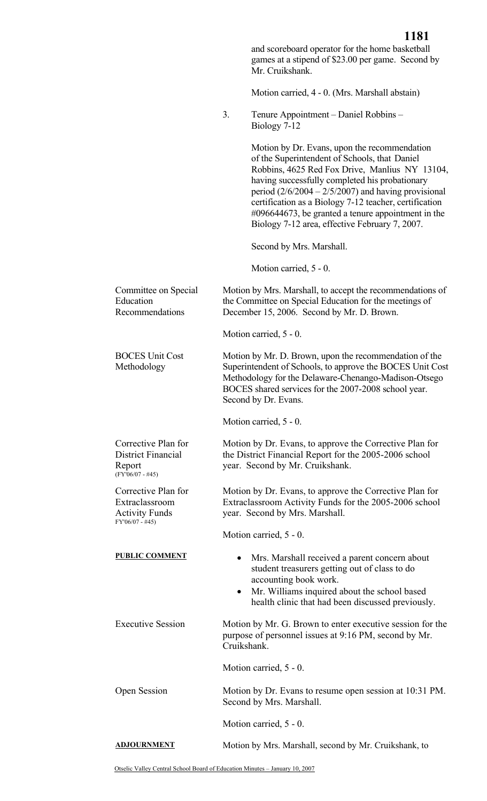|                                                                                   | 1101<br>and scoreboard operator for the home basketball<br>games at a stipend of \$23.00 per game. Second by<br>Mr. Cruikshank.                                                                                                                                                                                                                                                                                                  |
|-----------------------------------------------------------------------------------|----------------------------------------------------------------------------------------------------------------------------------------------------------------------------------------------------------------------------------------------------------------------------------------------------------------------------------------------------------------------------------------------------------------------------------|
|                                                                                   | Motion carried, 4 - 0. (Mrs. Marshall abstain)                                                                                                                                                                                                                                                                                                                                                                                   |
|                                                                                   | 3.<br>Tenure Appointment – Daniel Robbins –<br>Biology 7-12                                                                                                                                                                                                                                                                                                                                                                      |
|                                                                                   | Motion by Dr. Evans, upon the recommendation<br>of the Superintendent of Schools, that Daniel<br>Robbins, 4625 Red Fox Drive, Manlius NY 13104,<br>having successfully completed his probationary<br>period $(2/6/2004 - 2/5/2007)$ and having provisional<br>certification as a Biology 7-12 teacher, certification<br>$\#096644673$ , be granted a tenure appointment in the<br>Biology 7-12 area, effective February 7, 2007. |
|                                                                                   | Second by Mrs. Marshall.                                                                                                                                                                                                                                                                                                                                                                                                         |
|                                                                                   | Motion carried, 5 - 0.                                                                                                                                                                                                                                                                                                                                                                                                           |
| Committee on Special<br>Education<br>Recommendations                              | Motion by Mrs. Marshall, to accept the recommendations of<br>the Committee on Special Education for the meetings of<br>December 15, 2006. Second by Mr. D. Brown.                                                                                                                                                                                                                                                                |
|                                                                                   | Motion carried, 5 - 0.                                                                                                                                                                                                                                                                                                                                                                                                           |
| <b>BOCES Unit Cost</b><br>Methodology                                             | Motion by Mr. D. Brown, upon the recommendation of the<br>Superintendent of Schools, to approve the BOCES Unit Cost<br>Methodology for the Delaware-Chenango-Madison-Otsego<br>BOCES shared services for the 2007-2008 school year.<br>Second by Dr. Evans.                                                                                                                                                                      |
|                                                                                   | Motion carried, 5 - 0.                                                                                                                                                                                                                                                                                                                                                                                                           |
| Corrective Plan for<br>District Financial<br>Report<br>$(FY'06/07 - #45)$         | Motion by Dr. Evans, to approve the Corrective Plan for<br>the District Financial Report for the 2005-2006 school<br>year. Second by Mr. Cruikshank.                                                                                                                                                                                                                                                                             |
| Corrective Plan for<br>Extraclassroom<br><b>Activity Funds</b><br>FY'06/07 - #45) | Motion by Dr. Evans, to approve the Corrective Plan for<br>Extraclassroom Activity Funds for the 2005-2006 school<br>year. Second by Mrs. Marshall.                                                                                                                                                                                                                                                                              |
|                                                                                   | Motion carried, 5 - 0.                                                                                                                                                                                                                                                                                                                                                                                                           |
| <b>PUBLIC COMMENT</b>                                                             | Mrs. Marshall received a parent concern about<br>student treasurers getting out of class to do<br>accounting book work.<br>Mr. Williams inquired about the school based<br>$\bullet$<br>health clinic that had been discussed previously.                                                                                                                                                                                        |
| <b>Executive Session</b>                                                          | Motion by Mr. G. Brown to enter executive session for the<br>purpose of personnel issues at 9:16 PM, second by Mr.<br>Cruikshank.                                                                                                                                                                                                                                                                                                |
|                                                                                   | Motion carried, 5 - 0.                                                                                                                                                                                                                                                                                                                                                                                                           |
| Open Session                                                                      | Motion by Dr. Evans to resume open session at 10:31 PM.<br>Second by Mrs. Marshall.                                                                                                                                                                                                                                                                                                                                              |
|                                                                                   | Motion carried, 5 - 0.                                                                                                                                                                                                                                                                                                                                                                                                           |
| <b>ADJOURNMENT</b>                                                                | Motion by Mrs. Marshall, second by Mr. Cruikshank, to                                                                                                                                                                                                                                                                                                                                                                            |